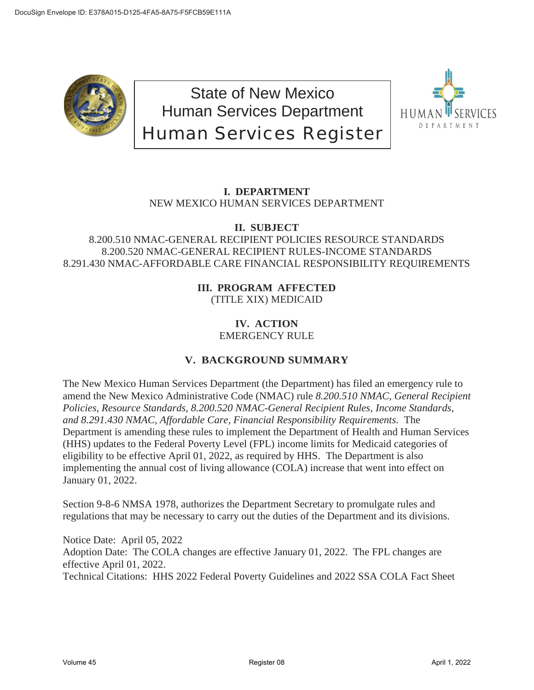

State of New Mexico Human Services Department Human Services Register



# **I. DEPARTMENT** NEW MEXICO HUMAN SERVICES DEPARTMENT

# **II. SUBJECT**

# 8.200.510 NMAC-GENERAL RECIPIENT POLICIES RESOURCE STANDARDS 8.200.520 NMAC-GENERAL RECIPIENT RULES-INCOME STANDARDS 8.291.430 NMAC-AFFORDABLE CARE FINANCIAL RESPONSIBILITY REQUIREMENTS

# **III. PROGRAM AFFECTED** (TITLE XIX) MEDICAID

# **IV. ACTION** EMERGENCY RULE

# **V. BACKGROUND SUMMARY**

The New Mexico Human Services Department (the Department) has filed an emergency rule to amend the New Mexico Administrative Code (NMAC) rule *8.200.510 NMAC, General Recipient Policies, Resource Standards, 8.200.520 NMAC-General Recipient Rules, Income Standards, and 8.291.430 NMAC, Affordable Care, Financial Responsibility Requirements.* The Department is amending these rules to implement the Department of Health and Human Services (HHS) updates to the Federal Poverty Level (FPL) income limits for Medicaid categories of eligibility to be effective April 01, 2022, as required by HHS. The Department is also implementing the annual cost of living allowance (COLA) increase that went into effect on January 01, 2022.

Section 9-8-6 NMSA 1978, authorizes the Department Secretary to promulgate rules and regulations that may be necessary to carry out the duties of the Department and its divisions.

Notice Date: April 05, 2022 Adoption Date: The COLA changes are effective January 01, 2022. The FPL changes are effective April 01, 2022. Technical Citations: HHS 2022 Federal Poverty Guidelines and 2022 SSA COLA Fact Sheet